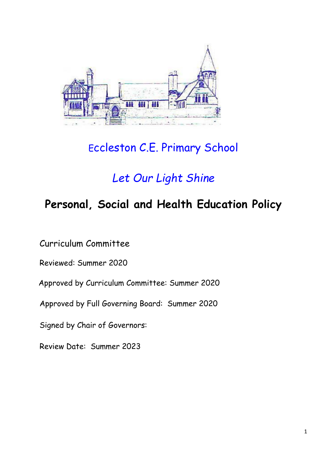

# Eccleston C.E. Primary School

# *Let Our Light Shine*

# **Personal, Social and Health Education Policy**

Curriculum Committee

Reviewed: Summer 2020

Approved by Curriculum Committee: Summer 2020

Approved by Full Governing Board: Summer 2020

Signed by Chair of Governors:

Review Date: Summer 2023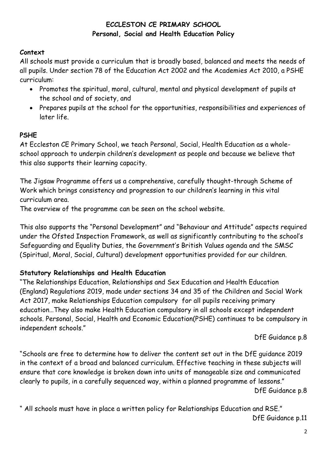## **ECCLESTON CE PRIMARY SCHOOL Personal, Social and Health Education Policy**

### **Context**

All schools must provide a curriculum that is broadly based, balanced and meets the needs of all pupils. Under section 78 of the Education Act 2002 and the Academies Act 2010, a PSHE curriculum:

- Promotes the spiritual, moral, cultural, mental and physical development of pupils at the school and of society, and
- Prepares pupils at the school for the opportunities, responsibilities and experiences of later life.

## **PSHE**

At Eccleston CE Primary School, we teach Personal, Social, Health Education as a wholeschool approach to underpin children's development as people and because we believe that this also supports their learning capacity.

The Jigsaw Programme offers us a comprehensive, carefully thought-through Scheme of Work which brings consistency and progression to our children's learning in this vital curriculum area.

The overview of the programme can be seen on the school website.

This also supports the "Personal Development" and "Behaviour and Attitude" aspects required under the Ofsted Inspection Framework, as well as significantly contributing to the school's Safeguarding and Equality Duties, the Government's British Values agenda and the SMSC (Spiritual, Moral, Social, Cultural) development opportunities provided for our children.

## **Statutory Relationships and Health Education**

"The Relationships Education, Relationships and Sex Education and Health Education (England) Regulations 2019, made under sections 34 and 35 of the Children and Social Work Act 2017, make Relationships Education compulsory for all pupils receiving primary education…They also make Health Education compulsory in all schools except independent schools. Personal, Social, Health and Economic Education(PSHE) continues to be compulsory in independent schools."

DfE Guidance p.8

"Schools are free to determine how to deliver the content set out in the DfE guidance 2019 in the context of a broad and balanced curriculum. Effective teaching in these subjects will ensure that core knowledge is broken down into units of manageable size and communicated clearly to pupils, in a carefully sequenced way, within a planned programme of lessons."

DfE Guidance p.8

" All schools must have in place a written policy for Relationships Education and RSE." DfE Guidance p.11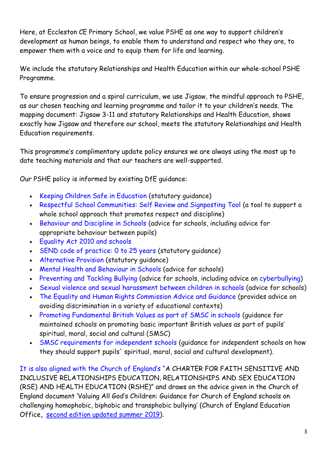Here, at Eccleston CE Primary School, we value PSHE as one way to support children's development as human beings, to enable them to understand and respect who they are, to empower them with a voice and to equip them for life and learning.

We include the statutory Relationships and Health Education within our whole-school PSHE Programme.

To ensure progression and a spiral curriculum, we use Jigsaw, the mindful approach to PSHE, as our chosen teaching and learning programme and tailor it to your children's needs. The mapping document: Jigsaw 3-11 and statutory Relationships and Health Education, shows exactly how Jigsaw and therefore our school, meets the statutory Relationships and Health Education requirements.

This programme's complimentary update policy ensures we are always using the most up to date teaching materials and that our teachers are well-supported.

Our PSHE policy is informed by existing DfE guidance:

- Keeping Children Safe in Education (statutory guidance)
- Respectful School Communities: Self Review and Signposting Tool (a tool to support a whole school approach that promotes respect and discipline)
- Behaviour and Discipline in Schools (advice for schools, including advice for appropriate behaviour between pupils)
- Equality Act 2010 and schools
- SEND code of practice: 0 to 25 years (statutory quidance)
- Alternative Provision (statutory guidance)
- Mental Health and Behaviour in Schools (advice for schools)
- Preventing and Tackling Bullying (advice for schools, including advice on cyberbullying)
- Sexual violence and sexual harassment between children in schools (advice for schools)
- The Equality and Human Rights Commission Advice and Guidance (provides advice on avoiding discrimination in a variety of educational contexts)
- Promoting Fundamental British Values as part of SMSC in schools (quidance for maintained schools on promoting basic important British values as part of pupils' spiritual, moral, social and cultural (SMSC)
- SMSC requirements for independent schools (quidance for independent schools on how they should support pupils' spiritual, moral, social and cultural development).

It is also aligned with the Church of England's "A CHARTER FOR FAITH SENSITIVE AND INCLUSIVE RELATIONSHIPS EDUCATION, RELATIONSHIPS AND SEX EDUCATION (RSE) AND HEALTH EDUCATION (RSHE)" and draws on the advice given in the Church of England document 'Valuing All God's Children: Guidance for Church of England schools on challenging homophobic, biphobic and transphobic bullying' (Church of England Education Office**,** [second edition updated summer 2019\)](https://www.churchofengland.org/sites/default/files/2019-07/Valuing%20All%20God%27s%20Children%20July%202019_0.pdf).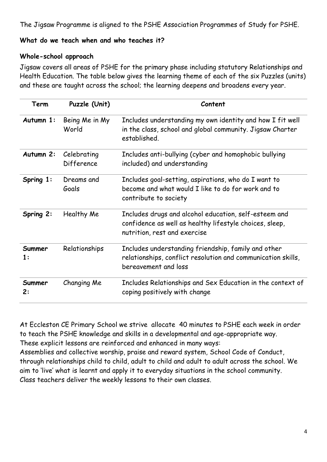The Jigsaw Programme is aligned to the PSHE Association Programmes of Study for PSHE.

### **What do we teach when and who teaches it?**

#### **Whole-school approach**

Jigsaw covers all areas of PSHE for the primary phase including statutory Relationships and Health Education. The table below gives the learning theme of each of the six Puzzles (units) and these are taught across the school; the learning deepens and broadens every year.

| <b>Term</b>              | Puzzle (Unit)             | Content                                                                                                                                          |
|--------------------------|---------------------------|--------------------------------------------------------------------------------------------------------------------------------------------------|
| Autumn 1:                | Being Me in My<br>World   | Includes understanding my own identity and how I fit well<br>in the class, school and global community. Jigsaw Charter<br>established.           |
| Autumn 2:                | Celebrating<br>Difference | Includes anti-bullying (cyber and homophobic bullying<br>included) and understanding                                                             |
| Spring 1:                | Dreams and<br>Goals       | Includes goal-setting, aspirations, who do I want to<br>become and what would I like to do for work and to<br>contribute to society              |
| Spring 2:                | Healthy Me                | Includes drugs and alcohol education, self-esteem and<br>confidence as well as healthy lifestyle choices, sleep,<br>nutrition, rest and exercise |
| Summer<br>$\mathbf{1}$ : | Relationships             | Includes understanding friendship, family and other<br>relationships, conflict resolution and communication skills,<br>bereavement and loss      |
| Summer<br>2:             | Changing Me               | Includes Relationships and Sex Education in the context of<br>coping positively with change                                                      |

At Eccleston CE Primary School we strive allocate 40 minutes to PSHE each week in order to teach the PSHE knowledge and skills in a developmental and age-appropriate way. These explicit lessons are reinforced and enhanced in many ways:

Assemblies and collective worship, praise and reward system, School Code of Conduct, through relationships child to child, adult to child and adult to adult across the school. We aim to 'live' what is learnt and apply it to everyday situations in the school community. Class teachers deliver the weekly lessons to their own classes.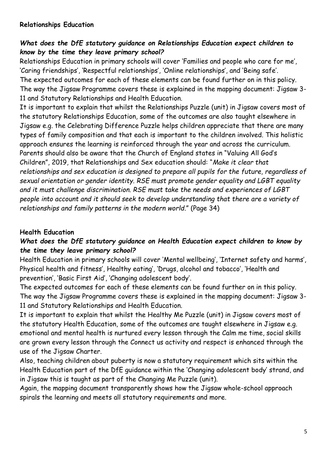### **Relationships Education**

## *What does the DfE statutory guidance on Relationships Education expect children to know by the time they leave primary school?*

Relationships Education in primary schools will cover 'Families and people who care for me', 'Caring friendships', 'Respectful relationships', 'Online relationships', and 'Being safe'. The expected outcomes for each of these elements can be found further on in this policy. The way the Jigsaw Programme covers these is explained in the mapping document: Jigsaw 3- 11 and Statutory Relationships and Health Education.

It is important to explain that whilst the Relationships Puzzle (unit) in Jigsaw covers most of the statutory Relationships Education, some of the outcomes are also taught elsewhere in Jigsaw e.g. the Celebrating Difference Puzzle helps children appreciate that there are many types of family composition and that each is important to the children involved. This holistic approach ensures the learning is reinforced through the year and across the curriculum. Parents should also be aware that the Church of England states in "Valuing All God's Children", 2019, that Relationships and Sex education should: "*Make it clear that relationships and sex education is designed to prepare all pupils for the future, regardless of sexual orientation or gender identity. RSE must promote gender equality and LGBT equality and it must challenge discrimination. RSE must take the needs and experiences of LGBT people into account and it should seek to develop understanding that there are a variety of relationships and family patterns in the modern world*." (Page 34)

### **Health Education**

## *What does the DfE statutory guidance on Health Education expect children to know by the time they leave primary school?*

Health Education in primary schools will cover 'Mental wellbeing', 'Internet safety and harms', Physical health and fitness', Healthy eating', 'Drugs, alcohol and tobacco', 'Health and prevention', 'Basic First Aid', 'Changing adolescent body'.

The expected outcomes for each of these elements can be found further on in this policy. The way the Jigsaw Programme covers these is explained in the mapping document: Jigsaw 3- 11 and Statutory Relationships and Health Education.

It is important to explain that whilst the Healthy Me Puzzle (unit) in Jigsaw covers most of the statutory Health Education, some of the outcomes are taught elsewhere in Jigsaw e.g. emotional and mental health is nurtured every lesson through the Calm me time, social skills are grown every lesson through the Connect us activity and respect is enhanced through the use of the Jigsaw Charter.

Also, teaching children about puberty is now a statutory requirement which sits within the Health Education part of the DfE guidance within the 'Changing adolescent body' strand, and in Jigsaw this is taught as part of the Changing Me Puzzle (unit).

Again, the mapping document transparently shows how the Jigsaw whole-school approach spirals the learning and meets all statutory requirements and more.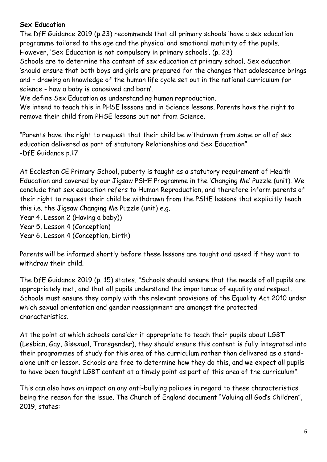## **Sex Education**

The DfE Guidance 2019 (p.23) recommends that all primary schools 'have a sex education programme tailored to the age and the physical and emotional maturity of the pupils. However, 'Sex Education is not compulsory in primary schools'. (p. 23)

Schools are to determine the content of sex education at primary school. Sex education 'should ensure that both boys and girls are prepared for the changes that adolescence brings and – drawing on knowledge of the human life cycle set out in the national curriculum for science - how a baby is conceived and born'.

We define Sex Education as understanding human reproduction.

We intend to teach this in PHSE lessons and in Science lessons. Parents have the right to remove their child from PHSE lessons but not from Science.

"Parents have the right to request that their child be withdrawn from some or all of sex education delivered as part of statutory Relationships and Sex Education" -DfE Guidance p.17

At Eccleston CE Primary School, puberty is taught as a statutory requirement of Health Education and covered by our Jigsaw PSHE Programme in the 'Changing Me' Puzzle (unit). We conclude that sex education refers to Human Reproduction, and therefore inform parents of their right to request their child be withdrawn from the PSHE lessons that explicitly teach this i.e. the Jigsaw Changing Me Puzzle (unit) e.g.

Year 4, Lesson 2 (Having a baby))

Year 5, Lesson 4 (Conception)

Year 6, Lesson 4 (Conception, birth)

Parents will be informed shortly before these lessons are taught and asked if they want to withdraw their child.

The DfE Guidance 2019 (p. 15) states, "Schools should ensure that the needs of all pupils are appropriately met, and that all pupils understand the importance of equality and respect. Schools must ensure they comply with the relevant provisions of the Equality Act 2010 under which sexual orientation and gender reassignment are amongst the protected characteristics.

At the point at which schools consider it appropriate to teach their pupils about LGBT (Lesbian, Gay, Bisexual, Transgender), they should ensure this content is fully integrated into their programmes of study for this area of the curriculum rather than delivered as a standalone unit or lesson. Schools are free to determine how they do this, and we expect all pupils to have been taught LGBT content at a timely point as part of this area of the curriculum".

This can also have an impact on any anti-bullying policies in regard to these characteristics being the reason for the issue. The Church of England document "Valuing all God's Children", 2019, states: